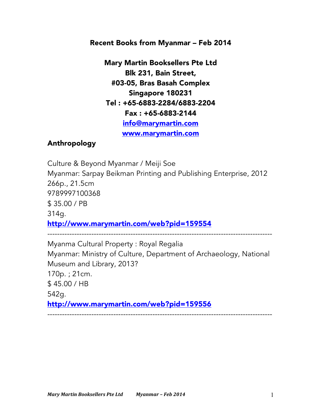#### Recent Books from Myanmar – Feb 2014

Mary Martin Booksellers Pte Ltd Blk 231, Bain Street, #03-05, Bras Basah Complex Singapore 180231 Tel : +65-6883-2284/6883-2204 Fax : +65-6883-2144 info@marymartin.com www.marymartin.com

#### Anthropology

Culture & Beyond Myanmar / Meiji Soe Myanmar: Sarpay Beikman Printing and Publishing Enterprise, 2012 266p., 21.5cm 9789997100368 \$ 35.00 / PB 314g. http://www.marymartin.com/web?pid=159554 --------------------------------------------------------------------------------------------

Myanma Cultural Property : Royal Regalia Myanmar: Ministry of Culture, Department of Archaeology, National Museum and Library, 2013? 170p. ; 21cm. \$ 45.00 / HB 542g. http://www.marymartin.com/web?pid=159556 --------------------------------------------------------------------------------------------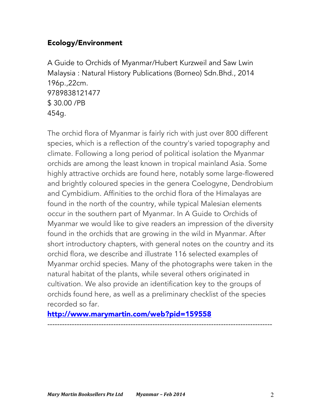## Ecology/Environment

A Guide to Orchids of Myanmar/Hubert Kurzweil and Saw Lwin Malaysia : Natural History Publications (Borneo) Sdn.Bhd., 2014 196p.,22cm. 9789838121477 \$ 30.00 /PB 454g.

The orchid flora of Myanmar is fairly rich with just over 800 different species, which is a reflection of the country's varied topography and climate. Following a long period of political isolation the Myanmar orchids are among the least known in tropical mainland Asia. Some highly attractive orchids are found here, notably some large-flowered and brightly coloured species in the genera Coelogyne, Dendrobium and Cymbidium. Affinities to the orchid flora of the Himalayas are found in the north of the country, while typical Malesian elements occur in the southern part of Myanmar. In A Guide to Orchids of Myanmar we would like to give readers an impression of the diversity found in the orchids that are growing in the wild in Myanmar. After short introductory chapters, with general notes on the country and its orchid flora, we describe and illustrate 116 selected examples of Myanmar orchid species. Many of the photographs were taken in the natural habitat of the plants, while several others originated in cultivation. We also provide an identification key to the groups of orchids found here, as well as a preliminary checklist of the species recorded so far.

--------------------------------------------------------------------------------------------

### http://www.marymartin.com/web?pid=159558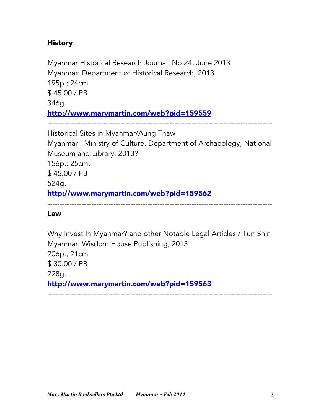# **History**

Myanmar Historical Research Journal: No.24, June 2013 Myanmar: Department of Historical Research, 2013 195p.; 24cm. \$ 45.00 / PB 346g. http://www.marymartin.com/web?pid=159559 --------------------------------------------------------------------------------------------

Historical Sites in Myanmar/Aung Thaw Myanmar : Ministry of Culture, Department of Archaeology, National Museum and Library, 2013? 156p.; 25cm. \$ 45.00 / PB 524g. http://www.marymartin.com/web?pid=159562

--------------------------------------------------------------------------------------------

Law

Why Invest In Myanmar? and other Notable Legal Articles / Tun Shin Myanmar: Wisdom House Publishing, 2013 206p., 21cm \$ 30.00 / PB 228g. http://www.marymartin.com/web?pid=159563 --------------------------------------------------------------------------------------------